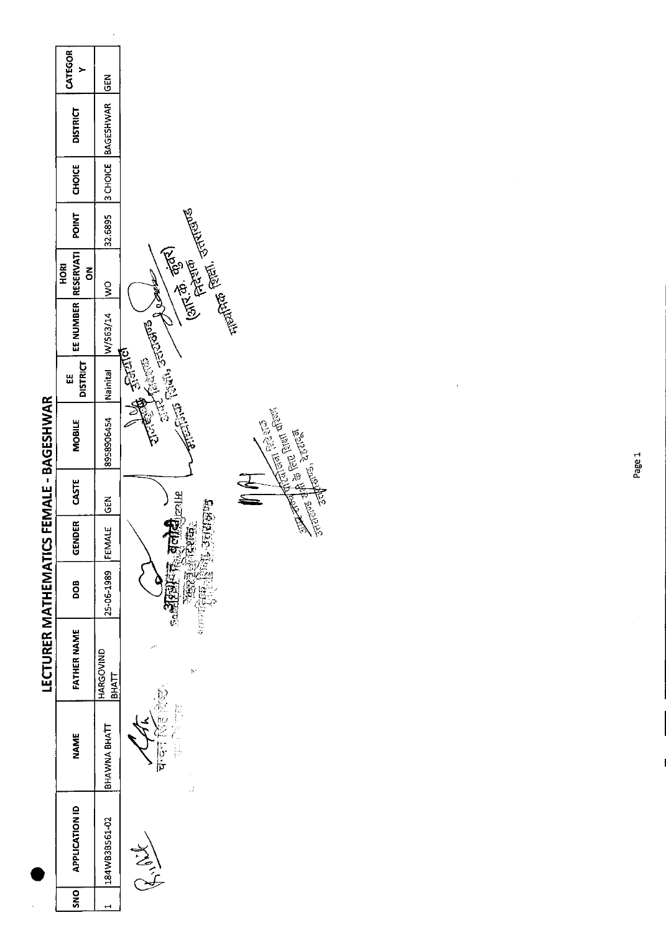|                                                | CATEGOR<br>≻                  | <b>GEN</b>                  |                                                                                                |
|------------------------------------------------|-------------------------------|-----------------------------|------------------------------------------------------------------------------------------------|
|                                                | <b>DISTRICT</b>               | <b>BAGESHWAR</b>            |                                                                                                |
|                                                | <b>CHOICE</b>                 | 3 CHOICE                    |                                                                                                |
|                                                | POINT                         | 32.6895                     |                                                                                                |
|                                                | <b>RESERVATI</b><br>HORI<br>š | $\frac{1}{2}$               | JAROK                                                                                          |
|                                                | EE NUMBER                     | W/563/14                    | الأسلامي فقاتل متلاقاتها<br>المالاني الجانجة الله متلاقاتها<br>الأسلامي المالاتي المناسبة      |
|                                                | <b>DISTRICT</b><br>Ш          | Nainital                    |                                                                                                |
|                                                | <b>MOBILE</b>                 | 8958906454                  | The Post of Party of Barbara<br>en of finite<br><b>Control Science Control Control Science</b> |
|                                                | CASTE                         | <b>GEN</b>                  |                                                                                                |
| <b>LECTURER MATHEMATICS FEMALE - BAGESHWAR</b> | GENDER                        | $\frac{1}{2}$<br><b>EEM</b> | 初度记号<br>櫌<br>iĝ.<br>$\frac{1}{2}$                                                              |
|                                                | <b>BOO</b>                    | 25-06-1989                  | ્લ <sub>ા</sub>                                                                                |
|                                                | <b>FATHER NAME</b>            | HARGOVIND<br><b>BHATT</b>   | þ.                                                                                             |
|                                                | <b>NAME</b>                   | BHAWNA BHATT                | þ<br>)<br>Po<br>ं पं<br>J.                                                                     |
|                                                | <b>APPLICATION ID</b>         | 184WB3B561-02               | July 1                                                                                         |
|                                                | <b>DNS</b>                    |                             |                                                                                                |

 $\ddot{\phantom{0}}$ 

 $\overline{\phantom{a}}$ 

 $\hat{\mathcal{L}}$ 

 $\frac{1}{2}$ 

 $\chi$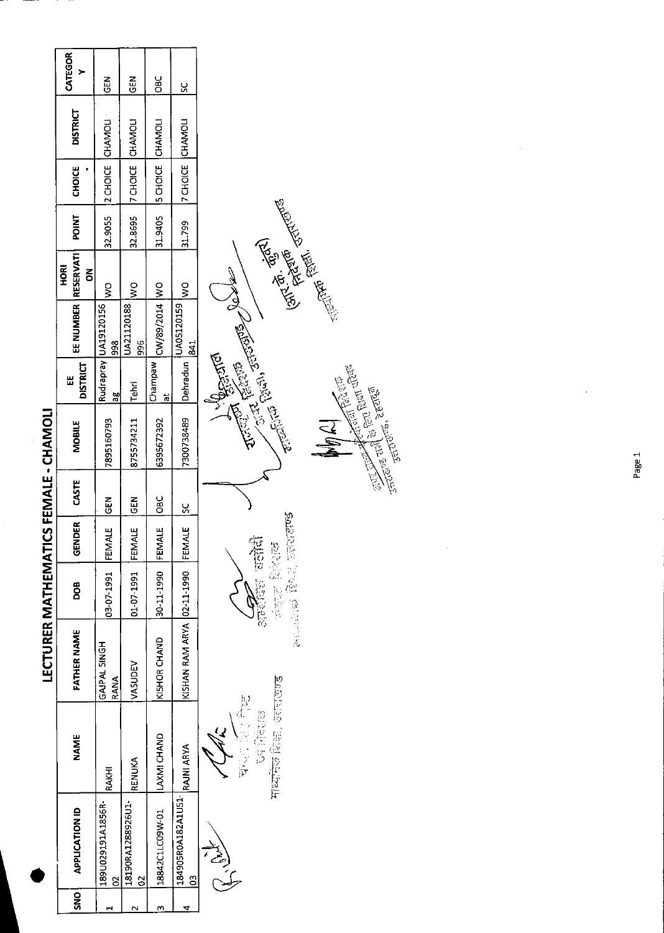|               |                                   |                   | LECTURER MATHEMATICS FEMALE - CHAMOLI |                       |        |             |                     |                 |                             |                              |        |                            |                          |               |
|---------------|-----------------------------------|-------------------|---------------------------------------|-----------------------|--------|-------------|---------------------|-----------------|-----------------------------|------------------------------|--------|----------------------------|--------------------------|---------------|
| $\frac{1}{2}$ | <b>APPLICATION ID</b>             | <b>NAME</b>       | FATHER NAME                           | <b>DOB</b>            | GENDER | CASTE       | <b>MOBILE</b>       | Ш               | EE NUMBER   RESERVATI       | <b>ROK</b>                   | POINT  | CHOICE                     | <b>DISTRICT</b>          | CATEGOR       |
|               |                                   |                   |                                       |                       |        |             |                     | <b>DISTRICT</b> |                             | õ                            |        |                            |                          |               |
|               | 189U029191A1856R-<br>g            | <b>RAKHI</b>      | GAJPAL SINGH<br>RANA                  | 03-07-1991 FEMALE     |        | $rac{5}{6}$ | 7895160793          | æ               | Rudrapray UA19120156<br>998 | $\frac{1}{2}$                |        |                            | 32.9055 Z CHOICE CHAMOLI | $rac{1}{2}$   |
|               | 18190RA1288926U1-<br>$\mathbf{S}$ | RENUKA            | VASUDEV                               | 01-07-1991 FEMALE GEN |        |             | 8755734211 Tehri    |                 | JA21120188<br>996           | $\frac{1}{2}$                |        | 32.8695  7 CHOICE  CHAMOLI |                          | $rac{2}{5}$   |
|               | 18842C1LC09W-01  LAXMI CHAND      |                   | KISHOR CHAND                          | 30-11-1990 FEMALE OBC |        |             | 6395672392          | Champaw<br>ಕ    | CW/89/2014  WO              |                              |        | 31.9405 SCHOICE CHAMOLI    |                          | <b>DBC</b>    |
|               | 184905R0A182A1U51-<br><u>9</u>    | <b>RAJNI ARYA</b> | KISHAN RAM ARYA 02-11-1990 FEMALE 1SC |                       |        |             | 7300738489 Dehradun |                 | UA05120159<br>841           | $\frac{1}{2}$                | 31.799 | 7 CHOIGE CHAMOLI           |                          | $\frac{6}{5}$ |
|               | ب<br>)<br>) )                     |                   |                                       |                       |        |             |                     | $\frac{1}{2}$   |                             | $\overline{\left( \right. }$ |        |                            |                          |               |

**ACAC**<br>**ENCE CONTROVER**<br>BELAND REEL STRINGUS ستعليل بالمها

)

Entre Control Street  $\frac{\partial}{\partial y}$ **CONDATION CONTROLLER DESCRIPTION AND RESERVED CONTROLLER DESCRIPTION OF CONTROLLER DESCRIPTION OF CONTROLLER DESCRIPTION Controller Schools Controller Schools Schools Section**  $\mathbb{Z}^4$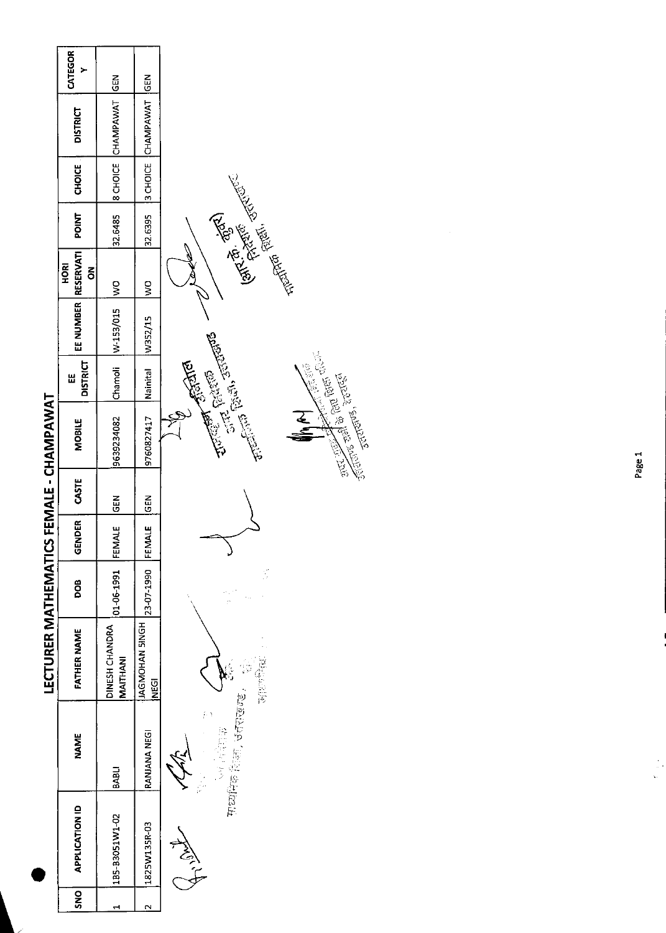|                                         | CATEGOR<br>≻                  | GEN                               | $rac{2}{3}$                   |                                                                                                                                |
|-----------------------------------------|-------------------------------|-----------------------------------|-------------------------------|--------------------------------------------------------------------------------------------------------------------------------|
|                                         | <b>DISTRICT</b>               | CHAMPAWAT                         | 3 CHOICE CHAMPAWAT            |                                                                                                                                |
|                                         | <b>CHOICE</b>                 | <b>B</b> CHOICE                   |                               |                                                                                                                                |
|                                         | POINT                         | 32.6485                           | 32.6395                       |                                                                                                                                |
|                                         | <b>RESERVATI</b><br>HORI<br>ã | $\frac{1}{2}$                     | $\frac{8}{2}$                 | <b>Expertise Company Company</b>                                                                                               |
| LECTURER MATHEMATICS FEMALE - CHAMPAWAT | EE NUMBER                     | W-153/015                         | W352/15                       |                                                                                                                                |
|                                         | <b>DISTRICT</b><br>出          | Chamoli                           | Nainital                      | Allen Branch                                                                                                                   |
|                                         | <b>MOBILE</b>                 | 9639234082                        | 9760827417                    | Children Collars School<br>Sections and state functions.<br><b>Children</b> Signal<br><b>2170115, 201616</b><br><u>रू</u><br>इ |
|                                         | CASTE                         | 검<br>9                            | <b>SEN</b>                    |                                                                                                                                |
|                                         | GENDER                        | FEMALE                            | FEMALE                        |                                                                                                                                |
|                                         | DOB                           | 01-06-1991                        | 23-07-1990                    | t)<br>D                                                                                                                        |
|                                         | <b>FATHER NAME</b>            | DINESH CHANDRA<br><b>MAITHANI</b> | JAGMOHAN SINGH<br><b>NEGI</b> | <b>BEATHER</b>                                                                                                                 |
|                                         | <b>NAME</b>                   | <b>BABLI</b>                      | RANJANA NEGI                  | माध्यमिक शिक्षा, उत्तराख्या<br>語にする                                                                                            |
|                                         | <b>APPLICATION ID</b>         | 1B5-B3051W1-02                    | 1825W135R-03                  | 今                                                                                                                              |
|                                         | <b>SNS</b>                    |                                   | $\mathbf{\tilde{c}}$          |                                                                                                                                |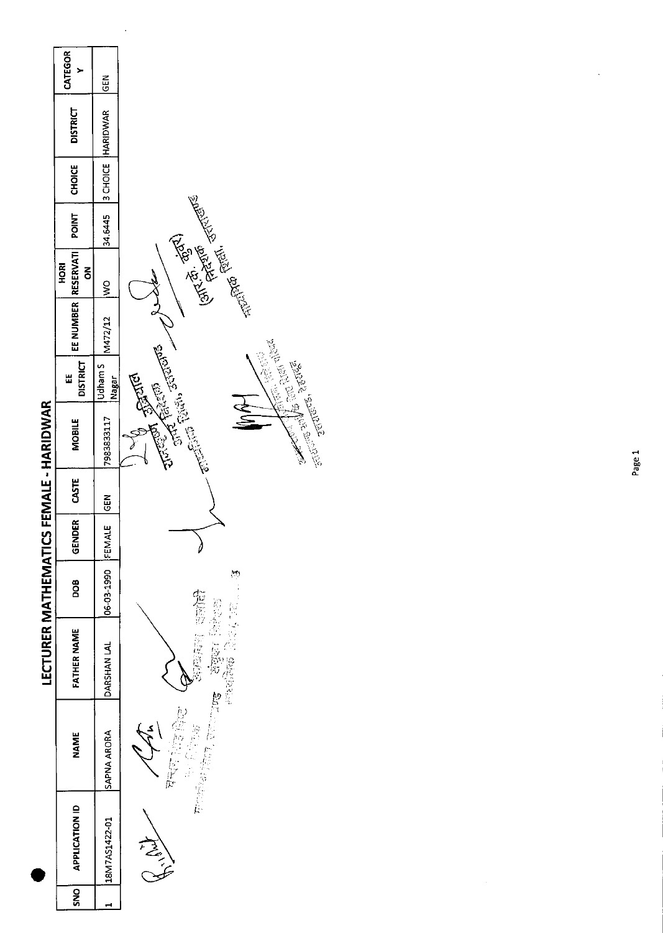|                                        | CATEGOR                             | NB<br>この         |                                                                                                                                                                                                                                |
|----------------------------------------|-------------------------------------|------------------|--------------------------------------------------------------------------------------------------------------------------------------------------------------------------------------------------------------------------------|
|                                        | <b>DISTRICT</b>                     | <b>HARIDWAR</b>  |                                                                                                                                                                                                                                |
|                                        | <b>CHOICE</b>                       | 3 CHOICE         |                                                                                                                                                                                                                                |
|                                        | <b>POINT</b>                        | 34.6445          |                                                                                                                                                                                                                                |
| LECTURER MATHEMATICS FEMALE - HARIDWAR | <b>RESERVATI</b><br><b>ROH</b><br>ξ | $\frac{1}{2}$    | J.                                                                                                                                                                                                                             |
|                                        | EE NUMBER                           | M472/12          | Ford of the fight of the district of the control of the control of the control of the control of the control of the control of the control of the control of the control of the control of the control of the control of the c |
|                                        | <b>DISTRICT</b><br>Ш                | Udham S<br>Nagar | <b>Allen Straits</b><br><b>2010-08-2010</b>                                                                                                                                                                                    |
|                                        | <b>MOBILE</b>                       | 7983833117       | orte and de con puer affair.<br>CRIME RIGHT STRINGS<br><b>Children Rivers</b>                                                                                                                                                  |
|                                        | CASTE                               | <b>SEN</b>       |                                                                                                                                                                                                                                |
|                                        | GENDER                              | FEMALE           | Ø                                                                                                                                                                                                                              |
|                                        | DOB                                 | 06-03-1990       | $\sum_{i=1}^{n}$<br>施設                                                                                                                                                                                                         |
|                                        | <b>FATHER NAME</b>                  | DARSHAN LAL      | $\begin{array}{ll} \mathbb{E}[\mathbb{E}[\mathcal{E}]] & \mathbb{E}[\mathbb{E}[\mathcal{E}]] \\ \mathbb{E}[\mathbb{E}[\mathcal{E}]]] & \mathbb{E}[\mathbb{E}[\mathbb{E}[\mathcal{E}]]] \end{array}$<br>位于感觉的<br>1等,以降降高        |
|                                        | NAME                                | SAPNA ARORA      | <b>MARKETTER</b><br>2位的<br>Ŷ<br>ina<br>Sainte<br>$\frac{1}{ {\cal K}^* }$                                                                                                                                                      |
|                                        | <b>APPLICATION ID</b>               | 18M7AS1422-01    | Marian                                                                                                                                                                                                                         |
|                                        | <b>SNO</b>                          |                  |                                                                                                                                                                                                                                |

 $\ddot{\phantom{0}}$ 

 $\ddot{\phantom{0}}$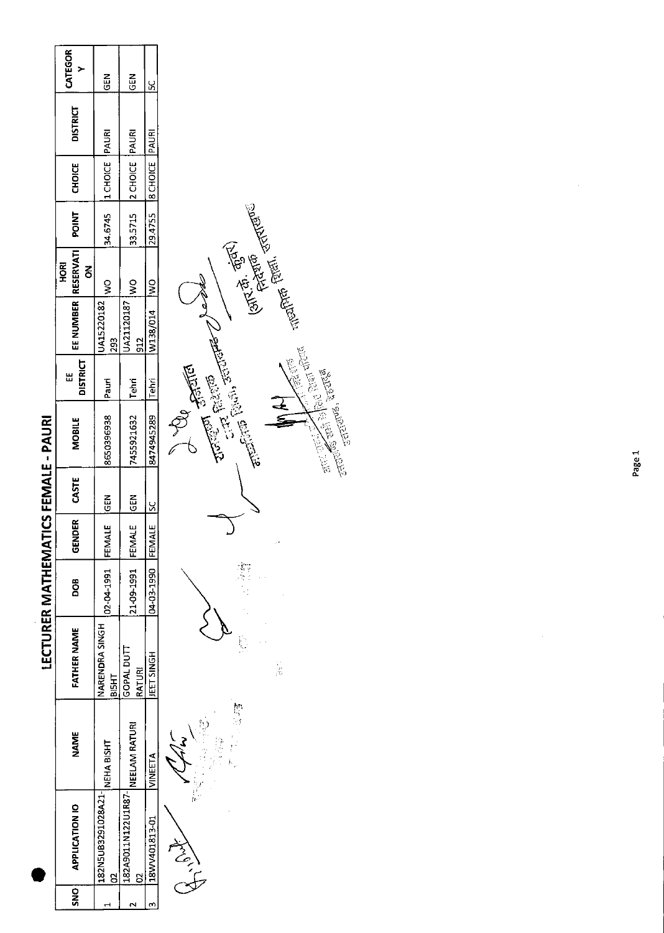|                            | CATEGOR                   | <b>GEN</b>                     | $rac{5}{6}$                             | ž                           |
|----------------------------|---------------------------|--------------------------------|-----------------------------------------|-----------------------------|
|                            | <b>DISTRICT</b>           |                                |                                         |                             |
|                            | CHOICE                    | 34.6745  1 CHOICE   PAURI      | 33.5715 2 CHOICE PAURI                  | 29.4755   8 CHOICE   PAURI  |
|                            |                           |                                |                                         |                             |
|                            | <b>ROKI</b><br>ã          | Ş                              | Ş                                       |                             |
|                            | EE NUMBER RESERVATI POINT | JA15220182<br>293              | JA21120187<br>អ្ន                       | W138/014  WO                |
|                            | <b>DISTRICT</b><br>쁩      |                                |                                         |                             |
| <b>TICS FEMALE - PAURI</b> | <b>MOBILE</b>             | 8650396938 Pauri               | 7455921632 Tehri                        | 8474945289 Tehri            |
|                            | CASTE                     |                                |                                         |                             |
|                            | GENDER                    |                                |                                         |                             |
| <b>LECTURER MATHEMA</b>    | DOB<br>D                  | 02-04-1991 FEMALE GEN          | 21-09-1991  FEMALE  GEN                 | 04-03-1990 FEMALE SC        |
|                            | <b>FATHER NAME</b>        | NARENDRA SINGH<br>ВІБНТ        | GOPAL DUTT<br>RATURI                    | <b>IEET SINGH</b>           |
|                            | NAME                      |                                |                                         |                             |
|                            | <b>APPLICATION IO</b>     | 1122N5UB3291028A21- NEHA BISHT | <b>182A9011N122U1R87- NEELAM RATURI</b> | A 2519101012 10.51310102022 |
|                            | ONSI                      |                                |                                         |                             |





Page 1

ý,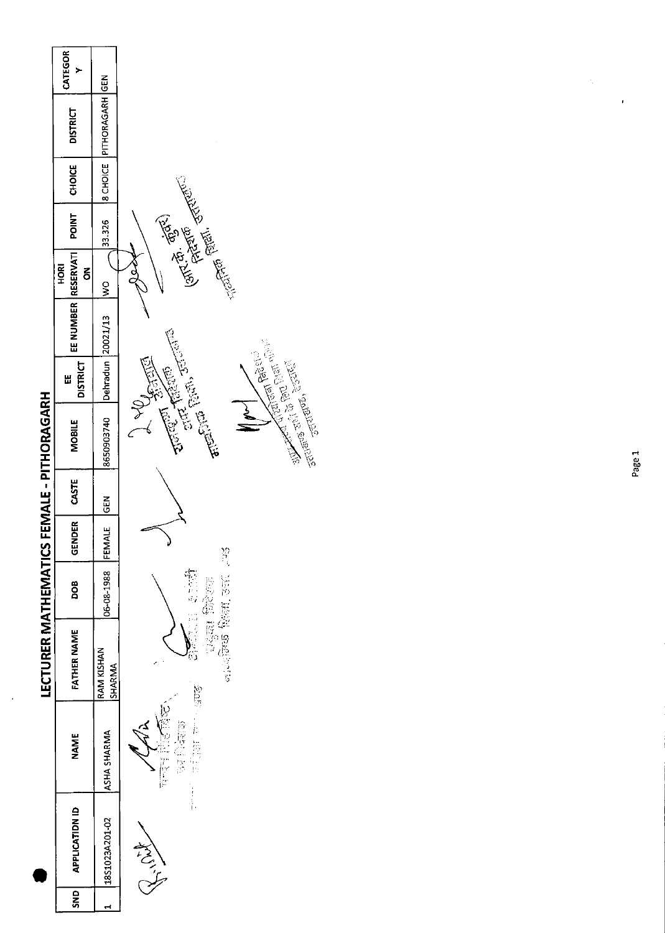

l,